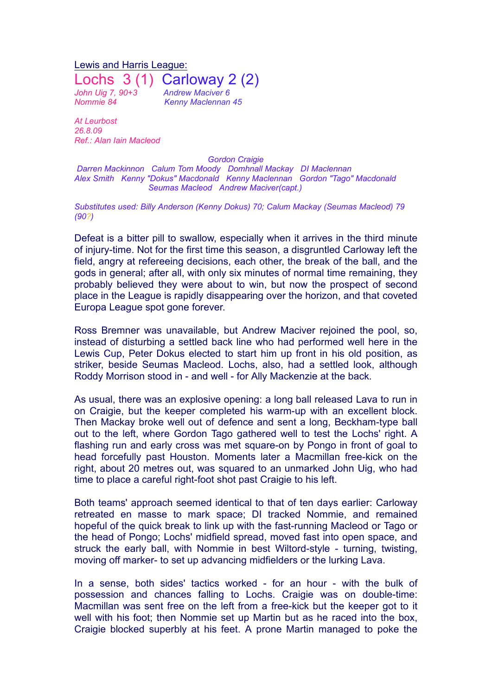Lewis and Harris League: Lochs 3 (1) Carloway 2 (2) *John Uig 7, 90+3 Andrew Maciver 6 Nommie 84 Kenny Maclennan 45*

*At Leurbost 26.8.09 Ref.: Alan Iain Macleod*

*Gordon Craigie*

*Darren Mackinnon Calum Tom Moody Domhnall Mackay DI Maclennan Alex Smith Kenny "Dokus" Macdonald Kenny Maclennan Gordon "Tago" Macdonald Seumas Macleod Andrew Maciver(capt.)*

*Substitutes used: Billy Anderson (Kenny Dokus) 70; Calum Mackay (Seumas Macleod) 79 (90?)*

Defeat is a bitter pill to swallow, especially when it arrives in the third minute of injury-time. Not for the first time this season, a disgruntled Carloway left the field, angry at refereeing decisions, each other, the break of the ball, and the gods in general; after all, with only six minutes of normal time remaining, they probably believed they were about to win, but now the prospect of second place in the League is rapidly disappearing over the horizon, and that coveted Europa League spot gone forever.

Ross Bremner was unavailable, but Andrew Maciver rejoined the pool, so, instead of disturbing a settled back line who had performed well here in the Lewis Cup, Peter Dokus elected to start him up front in his old position, as striker, beside Seumas Macleod. Lochs, also, had a settled look, although Roddy Morrison stood in - and well - for Ally Mackenzie at the back.

As usual, there was an explosive opening: a long ball released Lava to run in on Craigie, but the keeper completed his warm-up with an excellent block. Then Mackay broke well out of defence and sent a long, Beckham-type ball out to the left, where Gordon Tago gathered well to test the Lochs' right. A flashing run and early cross was met square-on by Pongo in front of goal to head forcefully past Houston. Moments later a Macmillan free-kick on the right, about 20 metres out, was squared to an unmarked John Uig, who had time to place a careful right-foot shot past Craigie to his left.

Both teams' approach seemed identical to that of ten days earlier: Carloway retreated en masse to mark space; DI tracked Nommie, and remained hopeful of the quick break to link up with the fast-running Macleod or Tago or the head of Pongo; Lochs' midfield spread, moved fast into open space, and struck the early ball, with Nommie in best Wiltord-style - turning, twisting, moving off marker- to set up advancing midfielders or the lurking Lava.

In a sense, both sides' tactics worked - for an hour - with the bulk of possession and chances falling to Lochs. Craigie was on double-time: Macmillan was sent free on the left from a free-kick but the keeper got to it well with his foot; then Nommie set up Martin but as he raced into the box, Craigie blocked superbly at his feet. A prone Martin managed to poke the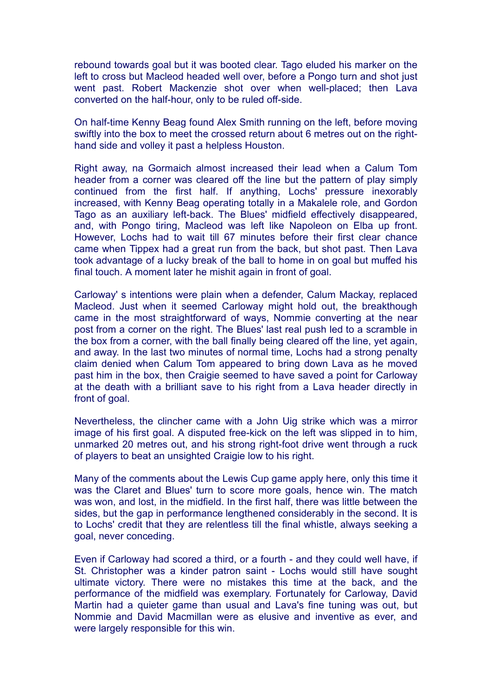rebound towards goal but it was booted clear. Tago eluded his marker on the left to cross but Macleod headed well over, before a Pongo turn and shot just went past. Robert Mackenzie shot over when well-placed; then Lava converted on the half-hour, only to be ruled off-side.

On half-time Kenny Beag found Alex Smith running on the left, before moving swiftly into the box to meet the crossed return about 6 metres out on the righthand side and volley it past a helpless Houston.

Right away, na Gormaich almost increased their lead when a Calum Tom header from a corner was cleared off the line but the pattern of play simply continued from the first half. If anything, Lochs' pressure inexorably increased, with Kenny Beag operating totally in a Makalele role, and Gordon Tago as an auxiliary left-back. The Blues' midfield effectively disappeared, and, with Pongo tiring, Macleod was left like Napoleon on Elba up front. However, Lochs had to wait till 67 minutes before their first clear chance came when Tippex had a great run from the back, but shot past. Then Lava took advantage of a lucky break of the ball to home in on goal but muffed his final touch. A moment later he mishit again in front of goal.

Carloway' s intentions were plain when a defender, Calum Mackay, replaced Macleod. Just when it seemed Carloway might hold out, the breakthough came in the most straightforward of ways, Nommie converting at the near post from a corner on the right. The Blues' last real push led to a scramble in the box from a corner, with the ball finally being cleared off the line, yet again, and away. In the last two minutes of normal time, Lochs had a strong penalty claim denied when Calum Tom appeared to bring down Lava as he moved past him in the box, then Craigie seemed to have saved a point for Carloway at the death with a brilliant save to his right from a Lava header directly in front of goal.

Nevertheless, the clincher came with a John Uig strike which was a mirror image of his first goal. A disputed free-kick on the left was slipped in to him, unmarked 20 metres out, and his strong right-foot drive went through a ruck of players to beat an unsighted Craigie low to his right.

Many of the comments about the Lewis Cup game apply here, only this time it was the Claret and Blues' turn to score more goals, hence win. The match was won, and lost, in the midfield. In the first half, there was little between the sides, but the gap in performance lengthened considerably in the second. It is to Lochs' credit that they are relentless till the final whistle, always seeking a goal, never conceding.

Even if Carloway had scored a third, or a fourth - and they could well have, if St. Christopher was a kinder patron saint - Lochs would still have sought ultimate victory. There were no mistakes this time at the back, and the performance of the midfield was exemplary. Fortunately for Carloway, David Martin had a quieter game than usual and Lava's fine tuning was out, but Nommie and David Macmillan were as elusive and inventive as ever, and were largely responsible for this win.